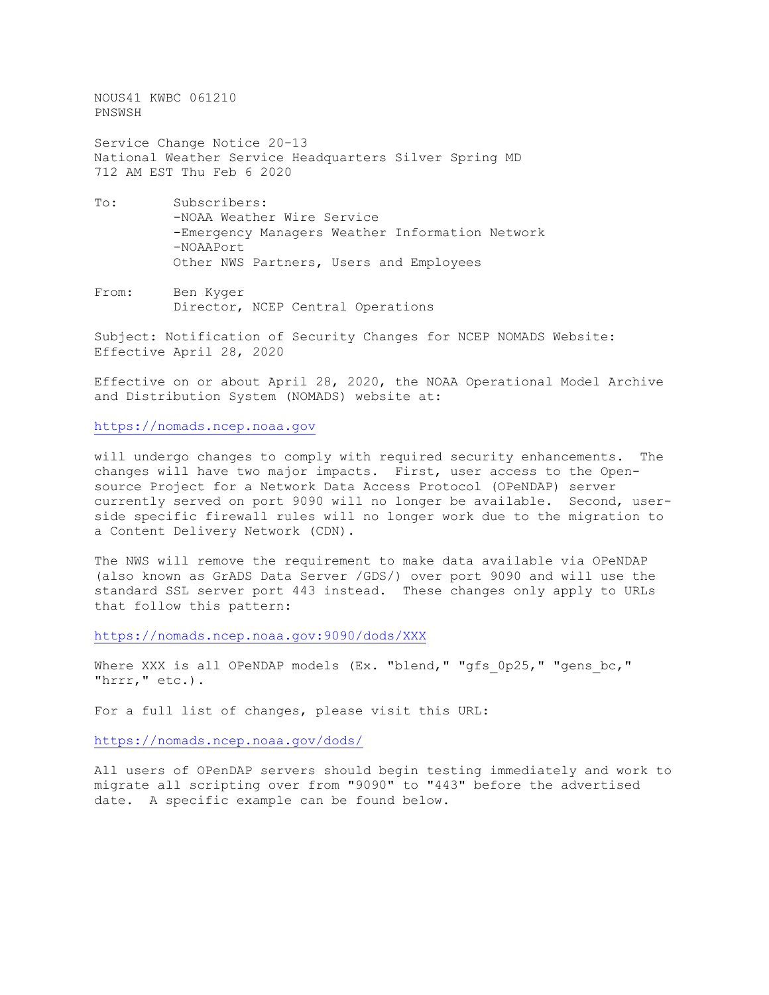NOUS41 KWBC 061210 PNSWSH Service Change Notice 20-13

National Weather Service Headquarters Silver Spring MD 712 AM EST Thu Feb 6 2020

- To: Subscribers: -NOAA Weather Wire Service -Emergency Managers Weather Information Network -NOAAPort Other NWS Partners, Users and Employees
- From: Ben Kyger Director, NCEP Central Operations

Subject: Notification of Security Changes for NCEP NOMADS Website: Effective April 28, 2020

Effective on or about April 28, 2020, the NOAA Operational Model Archive and Distribution System (NOMADS) website at:

[https://nomads.ncep.noaa.gov](https://nomads.ncep.noaa.gov/)

will undergo changes to comply with required security enhancements. The changes will have two major impacts. First, user access to the Opensource Project for a Network Data Access Protocol (OPeNDAP) server currently served on port 9090 will no longer be available. Second, userside specific firewall rules will no longer work due to the migration to a Content Delivery Network (CDN).

The NWS will remove the requirement to make data available via OPeNDAP (also known as GrADS Data Server /GDS/) over port 9090 and will use the standard SSL server port 443 instead. These changes only apply to URLs that follow this pattern:

<https://nomads.ncep.noaa.gov:9090/dods/XXX>

Where XXX is all OPeNDAP models (Ex. "blend," "gfs 0p25," "gens bc," "hrrr," etc.).

For a full list of changes, please visit this URL:

<https://nomads.ncep.noaa.gov/dods/>

All users of OPenDAP servers should begin testing immediately and work to migrate all scripting over from "9090" to "443" before the advertised date. A specific example can be found below.